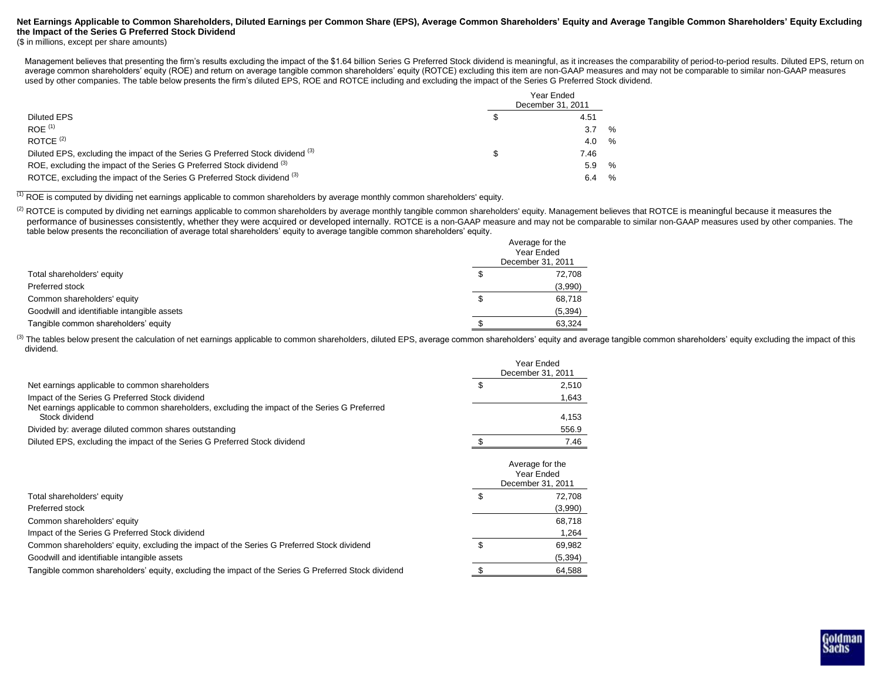### **Net Earnings Applicable to Common Shareholders, Diluted Earnings per Common Share (EPS), Average Common Shareholders' Equity and Average Tangible Common Shareholders' Equity Excluding the Impact of the Series G Preferred Stock Dividend**

(\$ in millions, except per share amounts)

Management believes that presenting the firm's results excluding the impact of the \$1.64 billion Series G Preferred Stock dividend is meaningful, as it increases the comparability of period-to-period results. Diluted EPS, average common shareholders' equity (ROE) and return on average tangible common shareholders' equity (ROTCE) excluding this item are non-GAAP measures and may not be comparable to similar non-GAAP measures used by other companies. The table below presents the firm's diluted EPS, ROE and ROTCE including and excluding the impact of the Series G Preferred Stock dividend.

| Diluted EPS<br>$ROE$ <sup><math>(1)</math></sup><br>ROTCE $(2)$                           | Year Ended<br>December 31, 2011 |      |      |  |  |  |  |
|-------------------------------------------------------------------------------------------|---------------------------------|------|------|--|--|--|--|
|                                                                                           |                                 | 4.51 |      |  |  |  |  |
|                                                                                           |                                 | 3.7  | %    |  |  |  |  |
|                                                                                           |                                 | 4.0  | $\%$ |  |  |  |  |
| Diluted EPS, excluding the impact of the Series G Preferred Stock dividend <sup>(3)</sup> |                                 | 7.46 |      |  |  |  |  |
| ROE, excluding the impact of the Series G Preferred Stock dividend (3)                    |                                 | 5.9  | %    |  |  |  |  |
| ROTCE, excluding the impact of the Series G Preferred Stock dividend (3)                  |                                 | 6.4  | %    |  |  |  |  |

(1) ROE is computed by dividing net earnings applicable to common shareholders by average monthly common shareholders' equity.

<sup>(2)</sup> ROTCE is computed by dividing net earnings applicable to common shareholders by average monthly tangible common shareholders' equity. Management believes that ROTCE is meaningful because it measures the performance of businesses consistently, whether they were acquired or developed internally. ROTCE is a non-GAAP measure and may not be comparable to similar non-GAAP measures used by other companies. The table below presents the reconciliation of average total shareholders' equity to average tangible common shareholders' equity.

|                                             |    | Average for the<br>Year Ended<br>December 31, 2011 |
|---------------------------------------------|----|----------------------------------------------------|
| Total shareholders' equity                  | P  | 72.708                                             |
| Preferred stock                             |    | (3,990)                                            |
| Common shareholders' equity                 | \$ | 68,718                                             |
| Goodwill and identifiable intangible assets |    | (5, 394)                                           |
| Tangible common shareholders' equity        |    | 63,324                                             |

(3) The tables below present the calculation of net earnings applicable to common shareholders, diluted EPS, average common shareholders' equity and average tangible common shareholders' equity excluding the impact of this dividend.

|                                                                                                                  | Year Ended<br>December 31, 2011                    |  |  |
|------------------------------------------------------------------------------------------------------------------|----------------------------------------------------|--|--|
| Net earnings applicable to common shareholders                                                                   | 2,510                                              |  |  |
| Impact of the Series G Preferred Stock dividend                                                                  | 1,643                                              |  |  |
| Net earnings applicable to common shareholders, excluding the impact of the Series G Preferred<br>Stock dividend | 4,153                                              |  |  |
| Divided by: average diluted common shares outstanding                                                            | 556.9                                              |  |  |
| Diluted EPS, excluding the impact of the Series G Preferred Stock dividend                                       | 7.46                                               |  |  |
|                                                                                                                  | Average for the<br>Year Ended<br>December 31, 2011 |  |  |
| Total shareholders' equity                                                                                       | \$<br>72,708                                       |  |  |
| Preferred stock                                                                                                  | (3,990)                                            |  |  |
| Common shareholders' equity                                                                                      | 68,718                                             |  |  |
| Impact of the Series G Preferred Stock dividend                                                                  | 1,264                                              |  |  |
| Common shareholders' equity, excluding the impact of the Series G Preferred Stock dividend                       | \$<br>69,982                                       |  |  |
| Goodwill and identifiable intangible assets                                                                      | (5, 394)                                           |  |  |
| Tangible common shareholders' equity, excluding the impact of the Series G Preferred Stock dividend              | \$<br>64,588                                       |  |  |

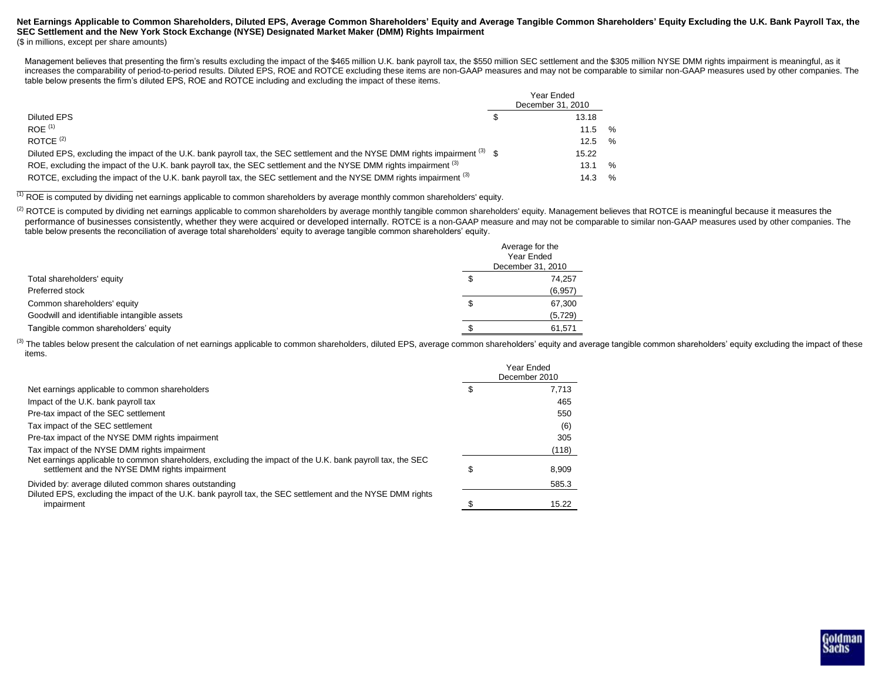#### Net Earnings Applicable to Common Shareholders, Diluted EPS, Average Common Shareholders' Equity and Average Tangible Common Shareholders' Equity Excluding the U.K. Bank Payroll Tax, the **SEC Settlement and the New York Stock Exchange (NYSE) Designated Market Maker (DMM) Rights Impairment** (\$ in millions, except per share amounts)

Management believes that presenting the firm's results excluding the impact of the \$465 million U.K. bank payroll tax, the \$550 million SEC settlement and the \$305 million NYSE DMM rights impairment is meaningful, as it increases the comparability of period-to-period results. Diluted EPS, ROE and ROTCE excluding these items are non-GAAP measures and may not be comparable to similar non-GAAP measures used by other companies. The table below presents the firm's diluted EPS, ROE and ROTCE including and excluding the impact of these items.

|                                                                                                                                         | Year Ended<br>December 31, 2010 |               |
|-----------------------------------------------------------------------------------------------------------------------------------------|---------------------------------|---------------|
| Diluted EPS                                                                                                                             | 13.18                           |               |
| ROF <sup>(1)</sup>                                                                                                                      | 11.5                            | $\%$          |
| ROTCF $(2)$                                                                                                                             | 12.5                            | %             |
| Diluted EPS, excluding the impact of the U.K. bank payroll tax, the SEC settlement and the NYSE DMM rights impairment <sup>(3)</sup> \$ | 15.22                           |               |
| ROE, excluding the impact of the U.K. bank payroll tax, the SEC settlement and the NYSE DMM rights impairment (3)                       | 13.1                            | %             |
| ROTCE, excluding the impact of the U.K. bank payroll tax, the SEC settlement and the NYSE DMM rights impairment (3)                     | 14.3                            | $\frac{1}{2}$ |

(1) ROE is computed by dividing net earnings applicable to common shareholders by average monthly common shareholders' equity.

<sup>(2)</sup> ROTCE is computed by dividing net earnings applicable to common shareholders by average monthly tangible common shareholders' equity. Management believes that ROTCE is meaningful because it measures the performance of businesses consistently, whether they were acquired or developed internally. ROTCE is a non-GAAP measure and may not be comparable to similar non-GAAP measures used by other companies. The table below presents the reconciliation of average total shareholders' equity to average tangible common shareholders' equity.

|                                             |   | Average for the<br>Year Ended<br>December 31, 2010 |
|---------------------------------------------|---|----------------------------------------------------|
| Total shareholders' equity                  | S | 74,257                                             |
| Preferred stock                             |   | (6,957)                                            |
| Common shareholders' equity                 | S | 67,300                                             |
| Goodwill and identifiable intangible assets |   | (5, 729)                                           |
| Tangible common shareholders' equity        |   | 61,571                                             |

(3) The tables below present the calculation of net earnings applicable to common shareholders, diluted EPS, average common shareholders' equity and average tangible common shareholders' equity excluding the impact of thes items.

|                                                                                                                                                             |   | Year Ended<br>December 2010 |  |
|-------------------------------------------------------------------------------------------------------------------------------------------------------------|---|-----------------------------|--|
| Net earnings applicable to common shareholders                                                                                                              |   | 7.713                       |  |
| Impact of the U.K. bank payroll tax                                                                                                                         |   | 465                         |  |
| Pre-tax impact of the SEC settlement                                                                                                                        |   | 550                         |  |
| Tax impact of the SEC settlement                                                                                                                            |   | (6)                         |  |
| Pre-tax impact of the NYSE DMM rights impairment                                                                                                            |   | 305                         |  |
| Tax impact of the NYSE DMM rights impairment                                                                                                                |   | (118)                       |  |
| Net earnings applicable to common shareholders, excluding the impact of the U.K. bank payroll tax, the SEC<br>settlement and the NYSE DMM rights impairment | S | 8.909                       |  |
| Divided by: average diluted common shares outstanding                                                                                                       |   | 585.3                       |  |
| Diluted EPS, excluding the impact of the U.K. bank payroll tax, the SEC settlement and the NYSE DMM rights<br>impairment                                    |   | 15.22                       |  |

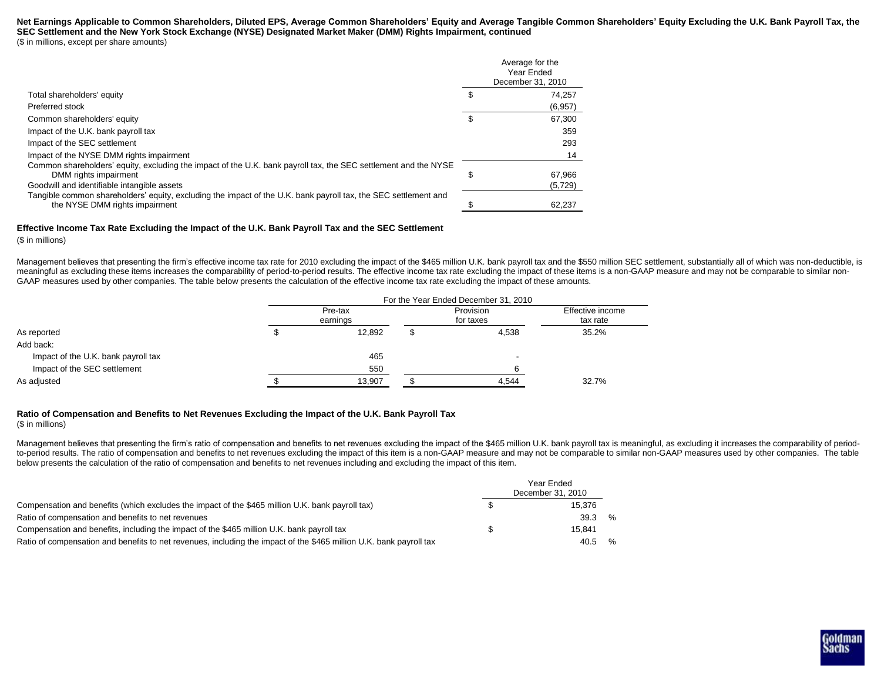#### Net Earnings Applicable to Common Shareholders, Diluted EPS, Average Common Shareholders' Equity and Average Tangible Common Shareholders' Equity Excluding the U.K. Bank Payroll Tax, the **SEC Settlement and the New York Stock Exchange (NYSE) Designated Market Maker (DMM) Rights Impairment, continued** (\$ in millions, except per share amounts)

|                                                                                                                                                   | Average for the<br>Year Ended<br>December 31, 2010 |
|---------------------------------------------------------------------------------------------------------------------------------------------------|----------------------------------------------------|
| Total shareholders' equity                                                                                                                        | 74.257                                             |
| Preferred stock                                                                                                                                   | (6, 957)                                           |
| Common shareholders' equity                                                                                                                       | 67.300                                             |
| Impact of the U.K. bank payroll tax                                                                                                               | 359                                                |
| Impact of the SEC settlement                                                                                                                      | 293                                                |
| Impact of the NYSE DMM rights impairment                                                                                                          | 14                                                 |
| Common shareholders' equity, excluding the impact of the U.K. bank payroll tax, the SEC settlement and the NYSE<br>DMM rights impairment          | 67.966                                             |
| Goodwill and identifiable intangible assets                                                                                                       | (5, 729)                                           |
| Tangible common shareholders' equity, excluding the impact of the U.K. bank payroll tax, the SEC settlement and<br>the NYSE DMM rights impairment | 62,237                                             |

#### **Effective Income Tax Rate Excluding the Impact of the U.K. Bank Payroll Tax and the SEC Settlement**

#### (\$ in millions)

Management believes that presenting the firm's effective income tax rate for 2010 excluding the impact of the \$465 million U.K. bank payroll tax and the \$550 million SEC settlement, substantially all of which was non-deduc meaningful as excluding these items increases the comparability of period-to-period results. The effective income tax rate excluding the impact of these items is a non-GAAP measure and may not be comparable to similar non-GAAP measures used by other companies. The table below presents the calculation of the effective income tax rate excluding the impact of these amounts.

|                                     | For the Year Ended December 31, 2010 |                     |  |                        |                              |  |  |  |  |  |
|-------------------------------------|--------------------------------------|---------------------|--|------------------------|------------------------------|--|--|--|--|--|
|                                     |                                      | Pre-tax<br>earnings |  | Provision<br>for taxes | Effective income<br>tax rate |  |  |  |  |  |
| As reported                         |                                      | 12.892              |  | 4.538                  | 35.2%                        |  |  |  |  |  |
| Add back:                           |                                      |                     |  |                        |                              |  |  |  |  |  |
| Impact of the U.K. bank payroll tax |                                      | 465                 |  | $\,$                   |                              |  |  |  |  |  |
| Impact of the SEC settlement        |                                      | 550                 |  | 6                      |                              |  |  |  |  |  |
| As adiusted                         |                                      | 13,907              |  | 4,544                  | 32.7%                        |  |  |  |  |  |

## **Ratio of Compensation and Benefits to Net Revenues Excluding the Impact of the U.K. Bank Payroll Tax**

(\$ in millions)

Management believes that presenting the firm's ratio of compensation and benefits to net revenues excluding the impact of the \$465 million U.K. bank payroll tax is meaningful, as excluding it increases the comparability of to-period results. The ratio of compensation and benefits to net revenues excluding the impact of this item is a non-GAAP measure and may not be comparable to similar non-GAAP measures used by other companies. The table below presents the calculation of the ratio of compensation and benefits to net revenues including and excluding the impact of this item.

|                                                                                                                     |  | Year Ended<br>December 31, 2010 |      |  |  |  |  |
|---------------------------------------------------------------------------------------------------------------------|--|---------------------------------|------|--|--|--|--|
| Compensation and benefits (which excludes the impact of the \$465 million U.K. bank payroll tax)                    |  | 15.376                          |      |  |  |  |  |
| Ratio of compensation and benefits to net revenues                                                                  |  | 39.3                            | $\%$ |  |  |  |  |
| Compensation and benefits, including the impact of the \$465 million U.K. bank payroll tax                          |  | 15.841                          |      |  |  |  |  |
| Ratio of compensation and benefits to net revenues, including the impact of the \$465 million U.K. bank payroll tax |  | 40.5                            | %    |  |  |  |  |

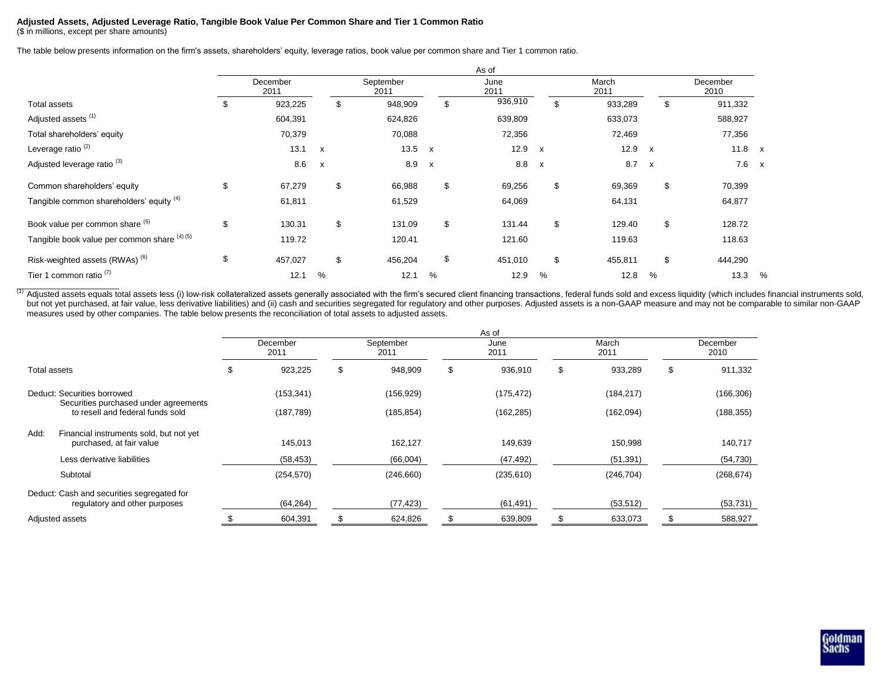#### **Adjusted Assets, Adjusted Leverage Ratio, Tangible Book Value Per Common Share and Tier 1 Common Ratio** (\$ in millions, except per share amounts)

The table below presents information on the firm's assets, shareholders' equity, leverage ratios, book value per common share and Tier 1 common ratio.

|                                              |    |                  |              |                   |              | As of        |   |               |                           |    |                  |              |
|----------------------------------------------|----|------------------|--------------|-------------------|--------------|--------------|---|---------------|---------------------------|----|------------------|--------------|
|                                              |    | December<br>2011 |              | September<br>2011 |              | June<br>2011 |   | March<br>2011 |                           |    | December<br>2010 |              |
| Total assets                                 | \$ | 923,225          | \$           | 948,909           | \$           | 936,910      |   | \$<br>933,289 |                           | \$ | 911,332          |              |
| Adjusted assets <sup>(1)</sup>               |    | 604,391          |              | 624,826           |              | 639,809      |   | 633,073       |                           |    | 588,927          |              |
| Total shareholders' equity                   |    | 70,379           |              | 70,088            |              | 72,356       |   | 72,469        |                           |    | 77,356           |              |
| Leverage ratio <sup>(2)</sup>                |    | 13.1             | $\mathsf{x}$ | 13.5 $\times$     |              | 12.9 x       |   | 12.9          | $\mathsf{x}$              |    | $11.8 \times$    |              |
| Adjusted leverage ratio <sup>(3)</sup>       |    | 8.6              | $\mathsf{x}$ | 8.9               | $\mathsf{x}$ | 8.8 x        |   | 8.7           | $\boldsymbol{\mathsf{x}}$ |    | 7.6              | $\mathsf{x}$ |
| Common shareholders' equity                  | \$ | 67,279           | \$           | 66,988            | \$           | 69,256       |   | \$<br>69,369  |                           | \$ | 70,399           |              |
| Tangible common shareholders' equity (4)     |    | 61,811           |              | 61,529            |              | 64,069       |   | 64,131        |                           |    | 64,877           |              |
| Book value per common share (5)              | \$ | 130.31           | \$           | 131.09            | \$           | 131.44       |   | \$<br>129.40  |                           | \$ | 128.72           |              |
| Tangible book value per common share (4) (5) |    | 119.72           |              | 120.41            |              | 121.60       |   | 119.63        |                           |    | 118.63           |              |
| Risk-weighted assets (RWAs) <sup>(6)</sup>   | \$ | 457,027          | \$           | 456,204           | \$           | 451,010      |   | \$<br>455,811 |                           | \$ | 444,290          |              |
| Tier 1 common ratio $(7)$                    |    | 12.1             | %            | 12.1              | %            | 12.9         | % | 12.8          | %                         |    | 13.3             | %            |

(1) Adjusted assets equals total assets less (i) low-risk collateralized assets generally associated with the firm's secured client financing transactions, federal funds sold and excess liquidity (which includes financial but not yet purchased, at fair value, less derivative liabilities) and (ii) cash and securities segregated for regulatory and other purposes. Adjusted assets is a non-GAAP measure and may not be comparable to similar non-G measures used by other companies. The table below presents the reconciliation of total assets to adjusted assets.

|                                                                             |   |                  |    |                   |    | As of        |               |                  |            |
|-----------------------------------------------------------------------------|---|------------------|----|-------------------|----|--------------|---------------|------------------|------------|
|                                                                             |   | December<br>2011 |    | September<br>2011 |    | June<br>2011 | March<br>2011 | December<br>2010 |            |
| Total assets                                                                | æ | 923,225          | \$ | 948,909           | \$ | 936,910      | \$<br>933,289 | \$               | 911,332    |
| Deduct: Securities borrowed                                                 |   | (153, 341)       |    | (156, 929)        |    | (175, 472)   | (184, 217)    |                  | (166, 306) |
| Securities purchased under agreements<br>to resell and federal funds sold   |   | (187, 789)       |    | (185, 854)        |    | (162, 285)   | (162,094)     |                  | (188, 355) |
| Add:<br>Financial instruments sold, but not yet<br>purchased, at fair value |   | 145,013          |    | 162,127           |    | 149,639      | 150,998       |                  | 140,717    |
| Less derivative liabilities                                                 |   | (58, 453)        |    | (66,004)          |    | (47, 492)    | (51, 391)     |                  | (54, 730)  |
| Subtotal                                                                    |   | (254, 570)       |    | (246, 660)        |    | (235, 610)   | (246, 704)    |                  | (268, 674) |
| Deduct: Cash and securities segregated for<br>regulatory and other purposes |   | (64, 264)        |    | (77, 423)         |    | (61, 491)    | (53, 512)     |                  | (53, 731)  |
| Adjusted assets                                                             |   | 604,391          |    | 624,826           |    | 639,809      | 633,073       |                  | 588,927    |